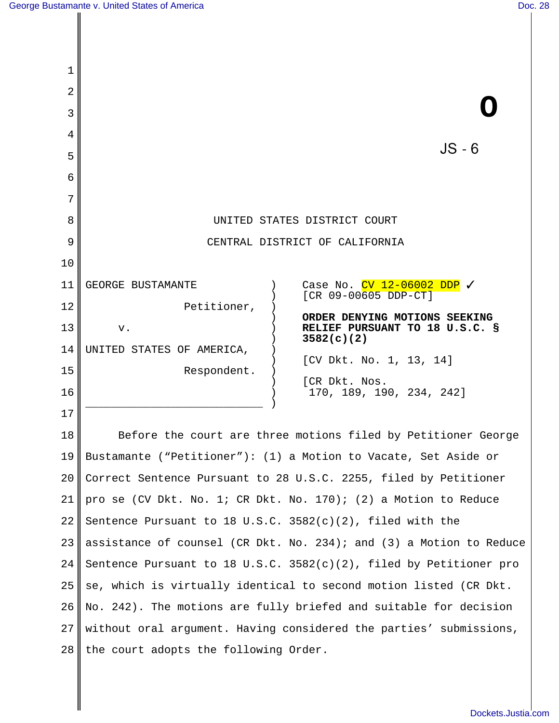| 1  |                                                                       |                                                                   |
|----|-----------------------------------------------------------------------|-------------------------------------------------------------------|
| 2  |                                                                       |                                                                   |
| 3  |                                                                       |                                                                   |
| 4  |                                                                       |                                                                   |
| 5  |                                                                       | $JS - 6$                                                          |
| 6  |                                                                       |                                                                   |
| 7  |                                                                       |                                                                   |
| 8  | UNITED STATES DISTRICT COURT                                          |                                                                   |
| 9  | CENTRAL DISTRICT OF CALIFORNIA                                        |                                                                   |
| 10 |                                                                       |                                                                   |
| 11 | GEORGE BUSTAMANTE                                                     | Case No. $CV$ 12-06002 DDP $\checkmark$<br>$[CR 09-00605 DDP-CT]$ |
| 12 | Petitioner,                                                           | ORDER DENYING MOTIONS SEEKING                                     |
| 13 | v.                                                                    | RELIEF PURSUANT TO 18 U.S.C. §<br>3582(c)(2)                      |
| 14 | UNITED STATES OF AMERICA,                                             | [CV Dkt. No. 1, 13, 14]                                           |
| 15 | Respondent.                                                           | [CR Dkt. Nos.                                                     |
| 16 |                                                                       | 170, 189, 190, 234, 242]                                          |
| 17 |                                                                       |                                                                   |
| 18 | Before the court are three motions filed by Petitioner George         |                                                                   |
| 19 | Bustamante ("Petitioner"): (1) a Motion to Vacate, Set Aside or       |                                                                   |
| 20 | Correct Sentence Pursuant to 28 U.S.C. 2255, filed by Petitioner      |                                                                   |
| 21 | pro se (CV Dkt. No. 1; CR Dkt. No. 170); (2) a Motion to Reduce       |                                                                   |
| 22 | Sentence Pursuant to 18 U.S.C. $3582(c)(2)$ , filed with the          |                                                                   |
| 23 | assistance of counsel (CR Dkt. No. 234); and (3) a Motion to Reduce   |                                                                   |
| 24 | Sentence Pursuant to 18 U.S.C. $3582(c)(2)$ , filed by Petitioner pro |                                                                   |
| 25 | se, which is virtually identical to second motion listed (CR Dkt.     |                                                                   |
| 26 | No. 242). The motions are fully briefed and suitable for decision     |                                                                   |
| 27 | without oral argument. Having considered the parties' submissions,    |                                                                   |
| 28 | the court adopts the following Order.                                 |                                                                   |
|    |                                                                       |                                                                   |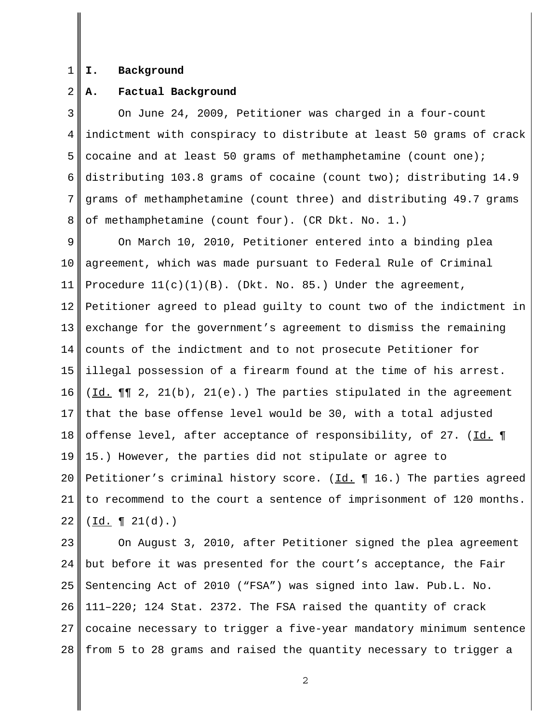### 1 **I. Background**

#### 2 **A. Factual Background**

3 4 5 6 7 8 On June 24, 2009, Petitioner was charged in a four-count indictment with conspiracy to distribute at least 50 grams of crack cocaine and at least 50 grams of methamphetamine (count one); distributing 103.8 grams of cocaine (count two); distributing 14.9 grams of methamphetamine (count three) and distributing 49.7 grams of methamphetamine (count four). (CR Dkt. No. 1.)

9 10 11 12 13 14 15 16 17 18 19 20 21 22 On March 10, 2010, Petitioner entered into a binding plea agreement, which was made pursuant to Federal Rule of Criminal Procedure  $11(c)(1)(B)$ . (Dkt. No. 85.) Under the agreement, Petitioner agreed to plead guilty to count two of the indictment in exchange for the government's agreement to dismiss the remaining counts of the indictment and to not prosecute Petitioner for illegal possession of a firearm found at the time of his arrest.  $(\underline{Id.} \P \P 2, 21(b), 21(e).)$  The parties stipulated in the agreement that the base offense level would be 30, with a total adjusted offense level, after acceptance of responsibility, of 27. (Id.  $\P$ 15.) However, the parties did not stipulate or agree to Petitioner's criminal history score. ( $\underline{Id.}$  | 16.) The parties agreed to recommend to the court a sentence of imprisonment of 120 months.  $(\underline{Id.} \P 21(d).)$ 

23  $2.4$ 25 26 27 28 On August 3, 2010, after Petitioner signed the plea agreement but before it was presented for the court's acceptance, the Fair Sentencing Act of 2010 ("FSA") was signed into law. Pub.L. No. 111–220; 124 Stat. 2372. The FSA raised the quantity of crack cocaine necessary to trigger a five-year mandatory minimum sentence from 5 to 28 grams and raised the quantity necessary to trigger a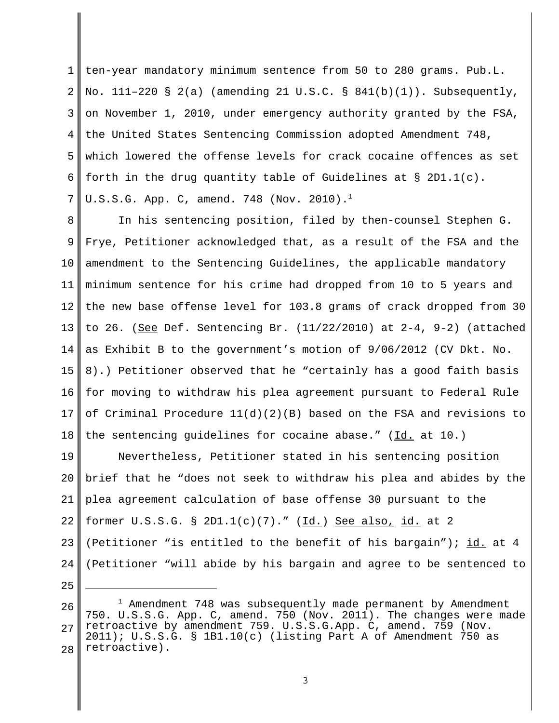1 2 3 4 5 6 7 ten-year mandatory minimum sentence from 50 to 280 grams. Pub.L. No. 111-220 § 2(a) (amending 21 U.S.C. §  $841(b)(1)$ ). Subsequently, on November 1, 2010, under emergency authority granted by the FSA, the United States Sentencing Commission adopted Amendment 748, which lowered the offense levels for crack cocaine offences as set forth in the drug quantity table of Guidelines at § 2D1.1(c). U.S.S.G. App. C, amend. 748 (Nov. 2010).<sup>1</sup>

8 9 10 11 12 13 14 15 16 17 18 In his sentencing position, filed by then-counsel Stephen G. Frye, Petitioner acknowledged that, as a result of the FSA and the amendment to the Sentencing Guidelines, the applicable mandatory minimum sentence for his crime had dropped from 10 to 5 years and the new base offense level for 103.8 grams of crack dropped from 30 to 26. (See Def. Sentencing Br.  $(11/22/2010)$  at 2-4, 9-2) (attached as Exhibit B to the government's motion of 9/06/2012 (CV Dkt. No. 8).) Petitioner observed that he "certainly has a good faith basis for moving to withdraw his plea agreement pursuant to Federal Rule of Criminal Procedure  $11(d)(2)(B)$  based on the FSA and revisions to the sentencing guidelines for cocaine abase." (Id. at 10.)

19 20 21 22 23 24 Nevertheless, Petitioner stated in his sentencing position brief that he "does not seek to withdraw his plea and abides by the plea agreement calculation of base offense 30 pursuant to the former U.S.S.G. § 2D1.1(c)(7)." (Id.) See also, id. at 2 (Petitioner "is entitled to the benefit of his bargain"); id. at 4 (Petitioner "will abide by his bargain and agree to be sentenced to

<sup>26</sup> 27 28  $1$  Amendment 748 was subsequently made permanent by Amendment 750. U.S.S.G. App. C, amend. 750 (Nov. 2011). The changes were made retroactive by amendment 759. U.S.S.G.App. C, amend. 759 (Nov. 2011); U.S.S.G. § 1B1.10(c) (listing Part A of Amendment 750 as retroactive).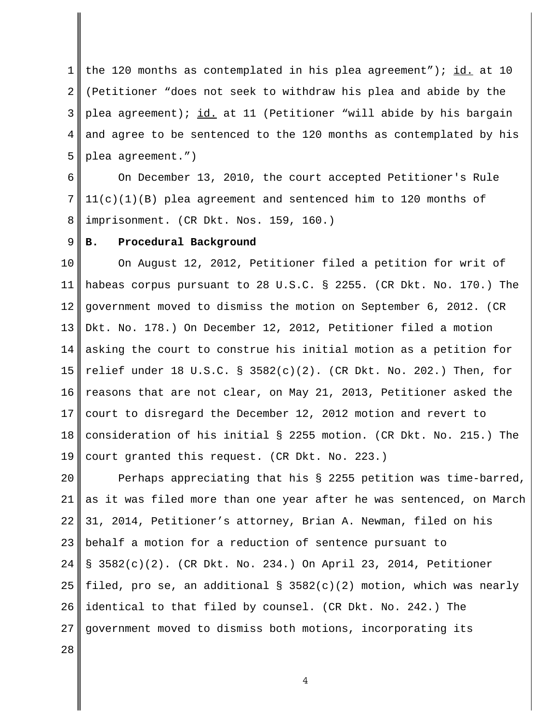1  $2<sup>1</sup>$ 3 4 5 the 120 months as contemplated in his plea agreement"); id. at 10 (Petitioner "does not seek to withdraw his plea and abide by the plea agreement); id. at 11 (Petitioner "will abide by his bargain and agree to be sentenced to the 120 months as contemplated by his plea agreement.")

6 7 8 On December 13, 2010, the court accepted Petitioner's Rule  $11(c)(1)(B)$  plea agreement and sentenced him to 120 months of imprisonment. (CR Dkt. Nos. 159, 160.)

### 9 **B. Procedural Background**

10 11 12 13 14 15 16 17 18 19 On August 12, 2012, Petitioner filed a petition for writ of habeas corpus pursuant to 28 U.S.C. § 2255. (CR Dkt. No. 170.) The government moved to dismiss the motion on September 6, 2012. (CR Dkt. No. 178.) On December 12, 2012, Petitioner filed a motion asking the court to construe his initial motion as a petition for relief under 18 U.S.C. § 3582(c)(2). (CR Dkt. No. 202.) Then, for reasons that are not clear, on May 21, 2013, Petitioner asked the court to disregard the December 12, 2012 motion and revert to consideration of his initial § 2255 motion. (CR Dkt. No. 215.) The court granted this request. (CR Dkt. No. 223.)

20 21 22 23  $2.4$ 25 26 27 28 Perhaps appreciating that his § 2255 petition was time-barred, as it was filed more than one year after he was sentenced, on March 31, 2014, Petitioner's attorney, Brian A. Newman, filed on his behalf a motion for a reduction of sentence pursuant to § 3582(c)(2). (CR Dkt. No. 234.) On April 23, 2014, Petitioner filed, pro se, an additional §  $3582(c)(2)$  motion, which was nearly identical to that filed by counsel. (CR Dkt. No. 242.) The government moved to dismiss both motions, incorporating its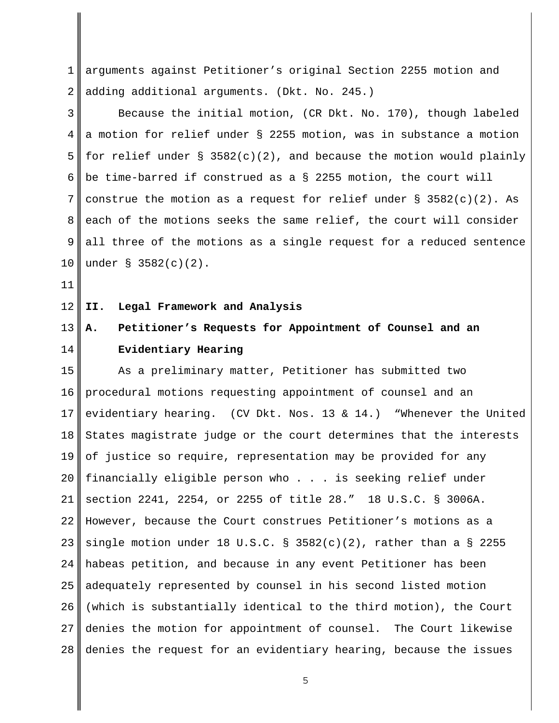1 2 arguments against Petitioner's original Section 2255 motion and adding additional arguments. (Dkt. No. 245.)

3 4 5 6 7 8 9 10 Because the initial motion, (CR Dkt. No. 170), though labeled a motion for relief under § 2255 motion, was in substance a motion for relief under  $\S$  3582(c)(2), and because the motion would plainly be time-barred if construed as a § 2255 motion, the court will construe the motion as a request for relief under  $\S$  3582(c)(2). As each of the motions seeks the same relief, the court will consider all three of the motions as a single request for a reduced sentence under § 3582(c)(2).

11

12

# **II. Legal Framework and Analysis**

### 13 14 **A. Petitioner's Requests for Appointment of Counsel and an Evidentiary Hearing**

15 16 17 18 19 20 21 22 23 24 25 26 27 28 As a preliminary matter, Petitioner has submitted two procedural motions requesting appointment of counsel and an evidentiary hearing. (CV Dkt. Nos. 13 & 14.) "Whenever the United States magistrate judge or the court determines that the interests of justice so require, representation may be provided for any financially eligible person who . . . is seeking relief under section 2241, 2254, or 2255 of title 28." 18 U.S.C. § 3006A. However, because the Court construes Petitioner's motions as a single motion under 18 U.S.C. §  $3582(c)(2)$ , rather than a § 2255 habeas petition, and because in any event Petitioner has been adequately represented by counsel in his second listed motion (which is substantially identical to the third motion), the Court denies the motion for appointment of counsel. The Court likewise denies the request for an evidentiary hearing, because the issues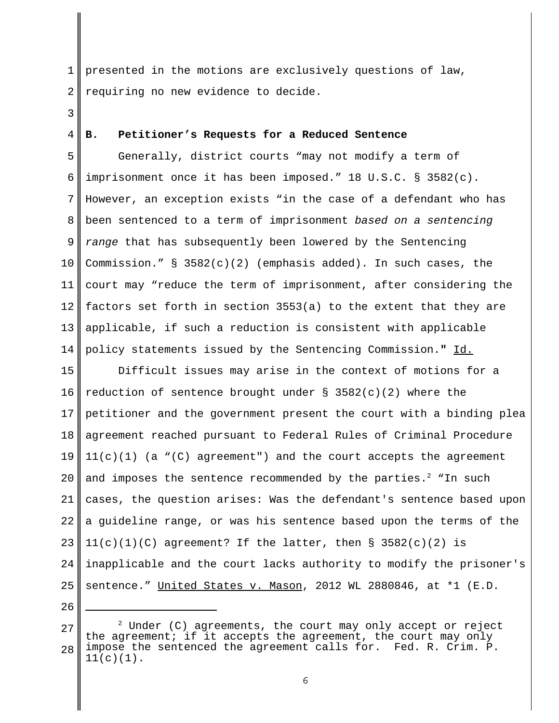1 2 presented in the motions are exclusively questions of law, requiring no new evidence to decide.

3

4

# **B. Petitioner's Requests for a Reduced Sentence**

5 6 7 8 9 10 11 12 13 14 Generally, district courts "may not modify a term of imprisonment once it has been imposed." 18 U.S.C. § 3582(c). However, an exception exists "in the case of a defendant who has been sentenced to a term of imprisonment based on a sentencing range that has subsequently been lowered by the Sentencing Commission." § 3582(c)(2) (emphasis added). In such cases, the court may "reduce the term of imprisonment, after considering the factors set forth in section 3553(a) to the extent that they are applicable, if such a reduction is consistent with applicable policy statements issued by the Sentencing Commission.**"** Id.

15 16 17 18 19 20 21 22 23 24 25 Difficult issues may arise in the context of motions for a reduction of sentence brought under  $\S$  3582(c)(2) where the petitioner and the government present the court with a binding plea agreement reached pursuant to Federal Rules of Criminal Procedure  $11(c)(1)$  (a "(C) agreement") and the court accepts the agreement and imposes the sentence recommended by the parties.<sup>2</sup> "In such cases, the question arises: Was the defendant's sentence based upon a guideline range, or was his sentence based upon the terms of the  $11(c)(1)(C)$  agreement? If the latter, then § 3582(c)(2) is inapplicable and the court lacks authority to modify the prisoner's sentence." United States v. Mason, 2012 WL 2880846, at \*1 (E.D.

<sup>26</sup>

<sup>27</sup> 28  $2$  Under (C) agreements, the court may only accept or reject the agreement; if it accepts the agreement, the court may only impose the sentenced the agreement calls for. Fed. R. Crim. P.  $11(c)(1)$ .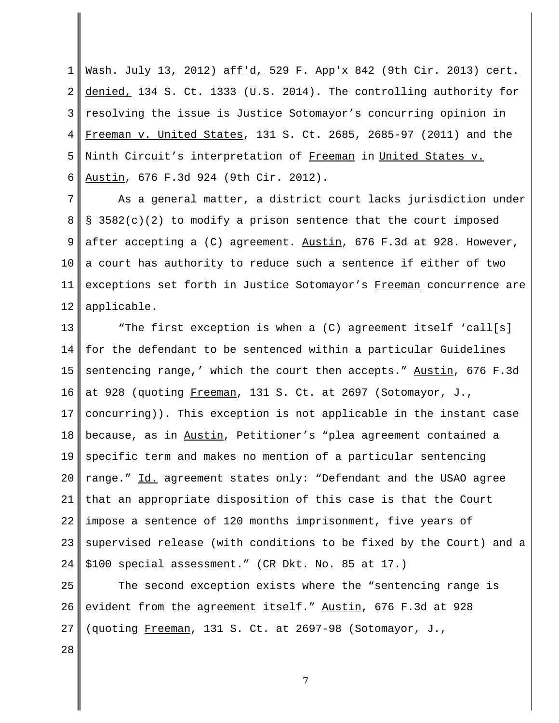1 Wash. July 13, 2012) aff'd, 529 F. App'x 842 (9th Cir. 2013) cert. 2 3 4 5 6 denied, 134 S. Ct. 1333 (U.S. 2014). The controlling authority for resolving the issue is Justice Sotomayor's concurring opinion in Freeman v. United States, 131 S. Ct. 2685, 2685-97 (2011) and the Ninth Circuit's interpretation of Freeman in United States v. Austin, 676 F.3d 924 (9th Cir. 2012).

7 8 9 10 11 12 As a general matter, a district court lacks jurisdiction under § 3582(c)(2) to modify a prison sentence that the court imposed after accepting a (C) agreement. Austin, 676 F.3d at 928. However, a court has authority to reduce such a sentence if either of two exceptions set forth in Justice Sotomayor's Freeman concurrence are applicable.

13 14 15 16 17 18 19 20 21 22 23  $2.4$ "The first exception is when a (C) agreement itself 'call[s] for the defendant to be sentenced within a particular Guidelines sentencing range,' which the court then accepts." Austin, 676 F.3d at 928 (quoting Freeman, 131 S. Ct. at 2697 (Sotomayor, J., concurring)). This exception is not applicable in the instant case because, as in Austin, Petitioner's "plea agreement contained a specific term and makes no mention of a particular sentencing range." Id. agreement states only: "Defendant and the USAO agree that an appropriate disposition of this case is that the Court impose a sentence of 120 months imprisonment, five years of supervised release (with conditions to be fixed by the Court) and a \$100 special assessment." (CR Dkt. No. 85 at 17.)

25 26 27 The second exception exists where the "sentencing range is evident from the agreement itself." Austin, 676 F.3d at 928 (quoting Freeman, 131 S. Ct. at 2697-98 (Sotomayor, J.,

28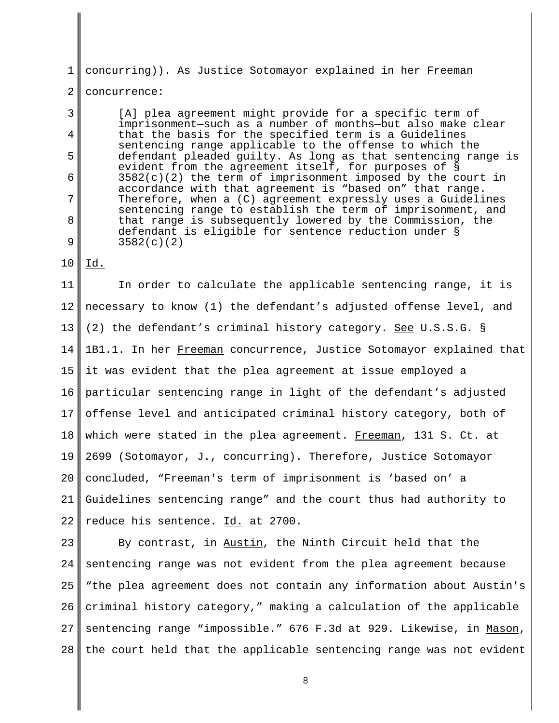1 2 concurring)). As Justice Sotomayor explained in her Freeman concurrence:

[A] plea agreement might provide for a specific term of imprisonment—such as a number of months—but also make clear that the basis for the specified term is a Guidelines sentencing range applicable to the offense to which the defendant pleaded guilty. As long as that sentencing range is evident from the agreement itself, for purposes of §  $3582(c)(2)$  the term of imprisonment imposed by the court in accordance with that agreement is "based on" that range. Therefore, when a (C) agreement expressly uses a Guidelines sentencing range to establish the term of imprisonment, and that range is subsequently lowered by the Commission, the defendant is eligible for sentence reduction under § 3582(c)(2)

10 Id.

3

4

5

6

7

8

9

11 12 13 14 15 16 17 18 19 20 21 22 In order to calculate the applicable sentencing range, it is necessary to know (1) the defendant's adjusted offense level, and (2) the defendant's criminal history category. See U.S.S.G. § 1B1.1. In her Freeman concurrence, Justice Sotomayor explained that it was evident that the plea agreement at issue employed a particular sentencing range in light of the defendant's adjusted offense level and anticipated criminal history category, both of which were stated in the plea agreement. Freeman, 131 S. Ct. at 2699 (Sotomayor, J., concurring). Therefore, Justice Sotomayor concluded, "Freeman's term of imprisonment is 'based on' a Guidelines sentencing range" and the court thus had authority to reduce his sentence. Id. at 2700.

23 24 25 26 27 28 By contrast, in Austin, the Ninth Circuit held that the sentencing range was not evident from the plea agreement because "the plea agreement does not contain any information about Austin's criminal history category," making a calculation of the applicable sentencing range "impossible." 676 F.3d at 929. Likewise, in Mason, the court held that the applicable sentencing range was not evident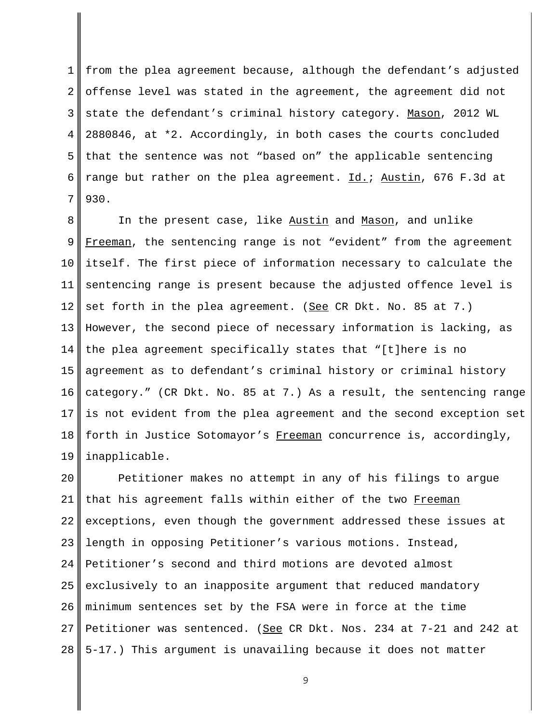1 2 3 4 5 6 7 from the plea agreement because, although the defendant's adjusted offense level was stated in the agreement, the agreement did not state the defendant's criminal history category. Mason, 2012 WL 2880846, at \*2. Accordingly, in both cases the courts concluded that the sentence was not "based on" the applicable sentencing range but rather on the plea agreement.  $Id.$ ; Austin, 676 F.3d at 930.

8 9 10 11 12 13 14 15 16 17 18 19 In the present case, like Austin and Mason, and unlike Freeman, the sentencing range is not "evident" from the agreement itself. The first piece of information necessary to calculate the sentencing range is present because the adjusted offence level is set forth in the plea agreement. (See CR Dkt. No. 85 at 7.) However, the second piece of necessary information is lacking, as the plea agreement specifically states that "[t]here is no agreement as to defendant's criminal history or criminal history category." (CR Dkt. No. 85 at 7.) As a result, the sentencing range is not evident from the plea agreement and the second exception set forth in Justice Sotomayor's Freeman concurrence is, accordingly, inapplicable.

20 21 22 23 24 25 26 27 28 Petitioner makes no attempt in any of his filings to argue that his agreement falls within either of the two Freeman exceptions, even though the government addressed these issues at length in opposing Petitioner's various motions. Instead, Petitioner's second and third motions are devoted almost exclusively to an inapposite argument that reduced mandatory minimum sentences set by the FSA were in force at the time Petitioner was sentenced. (See CR Dkt. Nos. 234 at 7-21 and 242 at 5-17.) This argument is unavailing because it does not matter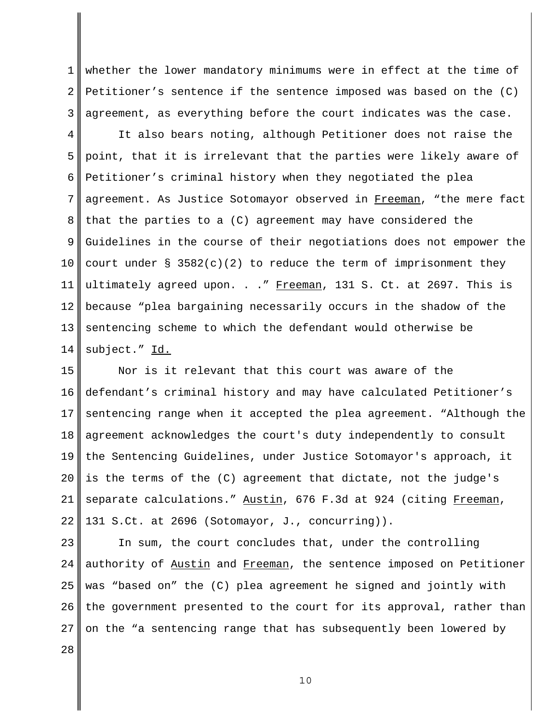1 2 3 whether the lower mandatory minimums were in effect at the time of Petitioner's sentence if the sentence imposed was based on the (C) agreement, as everything before the court indicates was the case.

4 5 6 7 8 9 10 11 12 13 14 It also bears noting, although Petitioner does not raise the point, that it is irrelevant that the parties were likely aware of Petitioner's criminal history when they negotiated the plea agreement. As Justice Sotomayor observed in Freeman, "the mere fact that the parties to a (C) agreement may have considered the Guidelines in the course of their negotiations does not empower the court under §  $3582(c)(2)$  to reduce the term of imprisonment they ultimately agreed upon. . ." Freeman, 131 S. Ct. at 2697. This is because "plea bargaining necessarily occurs in the shadow of the sentencing scheme to which the defendant would otherwise be subject." Id.

15 16 17 18 19 20 21 22 Nor is it relevant that this court was aware of the defendant's criminal history and may have calculated Petitioner's sentencing range when it accepted the plea agreement. "Although the agreement acknowledges the court's duty independently to consult the Sentencing Guidelines, under Justice Sotomayor's approach, it is the terms of the (C) agreement that dictate, not the judge's separate calculations." Austin, 676 F.3d at 924 (citing Freeman, 131 S.Ct. at 2696 (Sotomayor, J., concurring)).

23  $2.4$ 25 26 27 28 In sum, the court concludes that, under the controlling authority of Austin and Freeman, the sentence imposed on Petitioner was "based on" the (C) plea agreement he signed and jointly with the government presented to the court for its approval, rather than on the "a sentencing range that has subsequently been lowered by